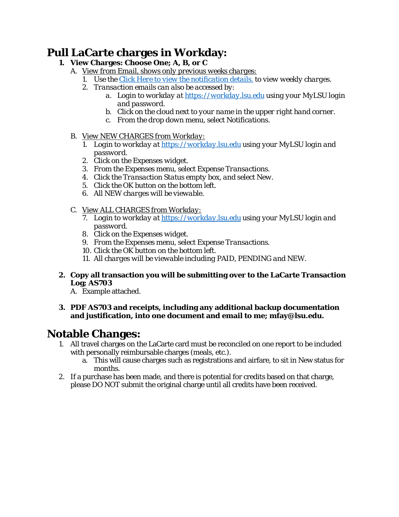## **Pull LaCarte charges in Workday:**

- **1. View Charges: Choose One; A, B, or C** 
	- A. *View from Email, shows only previous weeks charges:*
		- *1. Use the Click Here to view the notification details. to view weekly charges.*
		- *2. Transaction emails can also be accessed by:* 
			- *a. Login to workday at https://workday.lsu.edu using your MyLSU login and password.*
			- *b. Click on the cloud next to your name in the upper right hand corner.*
			- *c. From the drop down menu, select Notifications.*
	- *B. View NEW CHARGES from Workday:* 
		- *1. Login to workday at https://workday.lsu.edu using your MyLSU login and password.*
		- *2. Click on the Expenses widget.*
		- *3. From the Expenses menu, select Expense Transactions.*
		- *4. Click the Transaction Status empty box, and select New.*
		- *5. Click the OK button on the bottom left.*
		- *6. All NEW charges will be viewable.*
	- *C. View ALL CHARGES from Workday:* 
		- *7. Login to workday at https://workday.lsu.edu using your MyLSU login and password.*
		- *8. Click on the Expenses widget.*
		- *9. From the Expenses menu, select Expense Transactions.*
		- *10. Click the OK button on the bottom left.*
		- *11. All charges will be viewable including PAID, PENDING and NEW.*
- **2. Copy all transaction you will be submitting over to the LaCarte Transaction Log; AS703**
	- A. Example attached.
- **3. PDF AS703 and receipts, including any additional backup documentation and justification, into one document and email to me; mfay@lsu.edu.**

## **Notable Changes:**

- 1. All travel charges on the LaCarte card must be reconciled on one report to be included with personally reimbursable charges (meals, etc.).
	- a. This will cause charges such as registrations and airfare, to sit in New status for months.
- 2. If a purchase has been made, and there is potential for credits based on that charge, please DO NOT submit the original charge until all credits have been received.